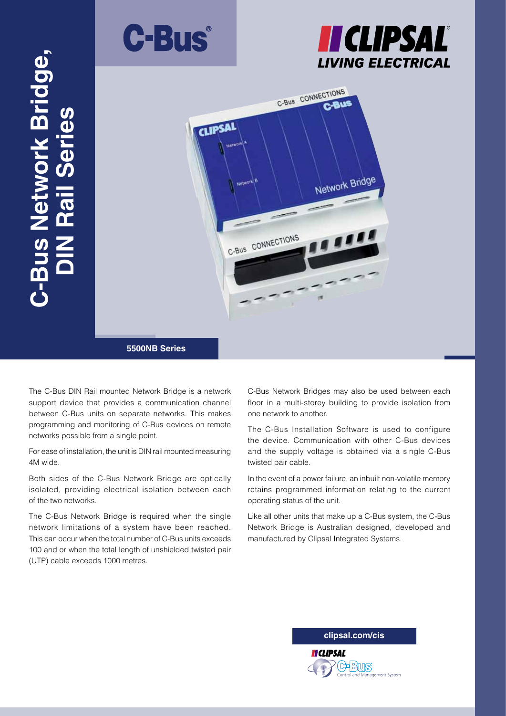





The C-Bus DIN Rail mounted Network Bridge is a network support device that provides a communication channel between C-Bus units on separate networks. This makes programming and monitoring of C-Bus devices on remote networks possible from a single point.

For ease of installation, the unit is DIN rail mounted measuring 4M wide.

Both sides of the C-Bus Network Bridge are optically isolated, providing electrical isolation between each of the two networks.

The C-Bus Network Bridge is required when the single network limitations of a system have been reached. This can occur when the total number of C-Bus units exceeds 100 and or when the total length of unshielded twisted pair (UTP) cable exceeds 1000 metres.

C-Bus Network Bridges may also be used between each floor in a multi-storey building to provide isolation from one network to another.

The C-Bus Installation Software is used to configure the device. Communication with other C-Bus devices and the supply voltage is obtained via a single C-Bus twisted pair cable.

In the event of a power failure, an inbuilt non-volatile memory retains programmed information relating to the current operating status of the unit.

Like all other units that make up a C-Bus system, the C-Bus Network Bridge is Australian designed, developed and manufactured by Clipsal Integrated Systems.

**clipsal.com/cis**